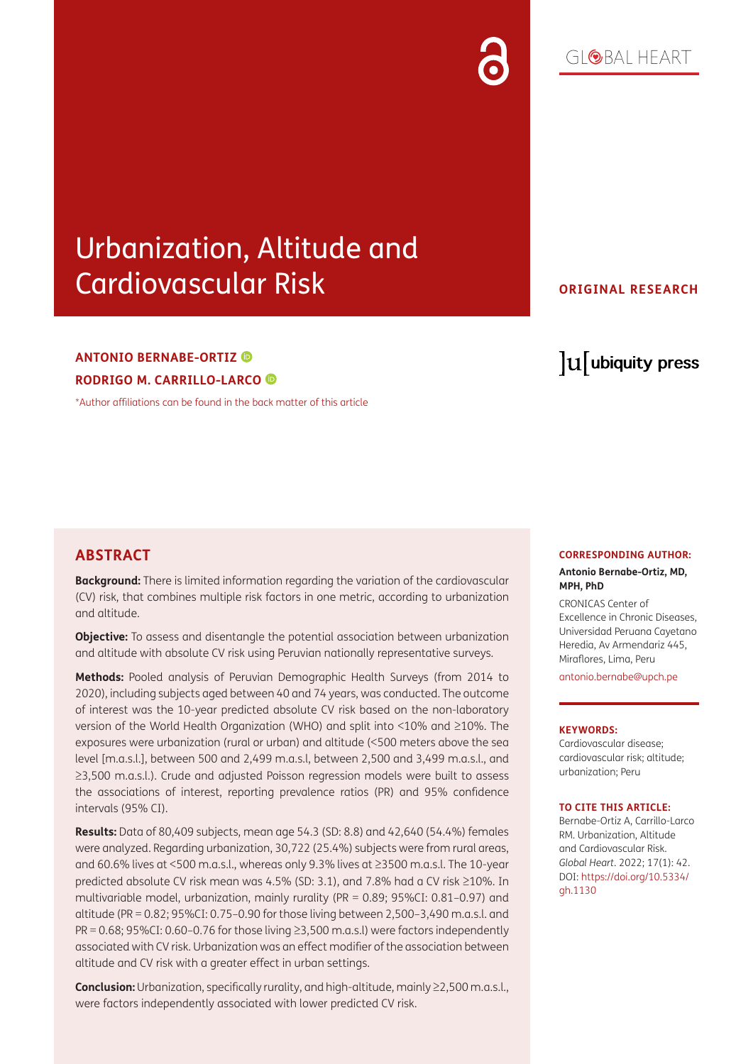# $G[QBA] HFART$

# Urbanization, Altitude and Cardiovascular Risk

# **ANTONIO BERNABE-ORTIZ RODRIGO M. CARRILLO-LARCO**

[\\*Author affiliations can be found in the back matter of this article](#page-9-0)

# **ORIGINAL RESEARCH**

# lu ubiquity press

# **ABSTRACT**

**Background:** There is limited information regarding the variation of the cardiovascular (CV) risk, that combines multiple risk factors in one metric, according to urbanization and altitude.

**Objective:** To assess and disentangle the potential association between urbanization and altitude with absolute CV risk using Peruvian nationally representative surveys.

**Methods:** Pooled analysis of Peruvian Demographic Health Surveys (from 2014 to 2020), including subjects aged between 40 and 74 years, was conducted. The outcome of interest was the 10-year predicted absolute CV risk based on the non-laboratory version of the World Health Organization (WHO) and split into <10% and ≥10%. The exposures were urbanization (rural or urban) and altitude (<500 meters above the sea level [m.a.s.l.], between 500 and 2,499 m.a.s.l, between 2,500 and 3,499 m.a.s.l., and ≥3,500 m.a.s.l.). Crude and adjusted Poisson regression models were built to assess the associations of interest, reporting prevalence ratios (PR) and 95% confidence intervals (95% CI).

**Results:** Data of 80,409 subjects, mean age 54.3 (SD: 8.8) and 42,640 (54.4%) females were analyzed. Regarding urbanization, 30,722 (25.4%) subjects were from rural areas, and 60.6% lives at <500 m.a.s.l., whereas only 9.3% lives at ≥3500 m.a.s.l. The 10-year predicted absolute CV risk mean was 4.5% (SD: 3.1), and 7.8% had a CV risk ≥10%. In multivariable model, urbanization, mainly rurality (PR = 0.89; 95%CI: 0.81–0.97) and altitude (PR = 0.82; 95%CI: 0.75–0.90 for those living between 2,500–3,490 m.a.s.l. and  $PR = 0.68$ ; 95%CI: 0.60–0.76 for those living  $\geq$ 3,500 m.a.s.l) were factors independently associated with CV risk. Urbanization was an effect modifier of the association between altitude and CV risk with a greater effect in urban settings.

**Conclusion:** Urbanization, specifically rurality, and high-altitude, mainly ≥2,500 m.a.s.l., were factors independently associated with lower predicted CV risk.

# **CORRESPONDING AUTHOR:**

#### **Antonio Bernabe-Ortiz, MD, MPH, PhD**

CRONICAS Center of Excellence in Chronic Diseases, Universidad Peruana Cayetano Heredia, Av Armendariz 445, Miraflores, Lima, Peru [antonio.bernabe@upch.pe](mailto:antonio.bernabe@upch.pe)

#### **KEYWORDS:**

Cardiovascular disease; cardiovascular risk; altitude; urbanization; Peru

#### **TO CITE THIS ARTICLE:**

Bernabe-Ortiz A, Carrillo-Larco RM. Urbanization, Altitude and Cardiovascular Risk. *Global Heart*. 2022; 17(1): 42. DOI: [https://doi.org/10.5334/](https://doi.org/10.5334/gh.1130) [gh.1130](https://doi.org/10.5334/gh.1130)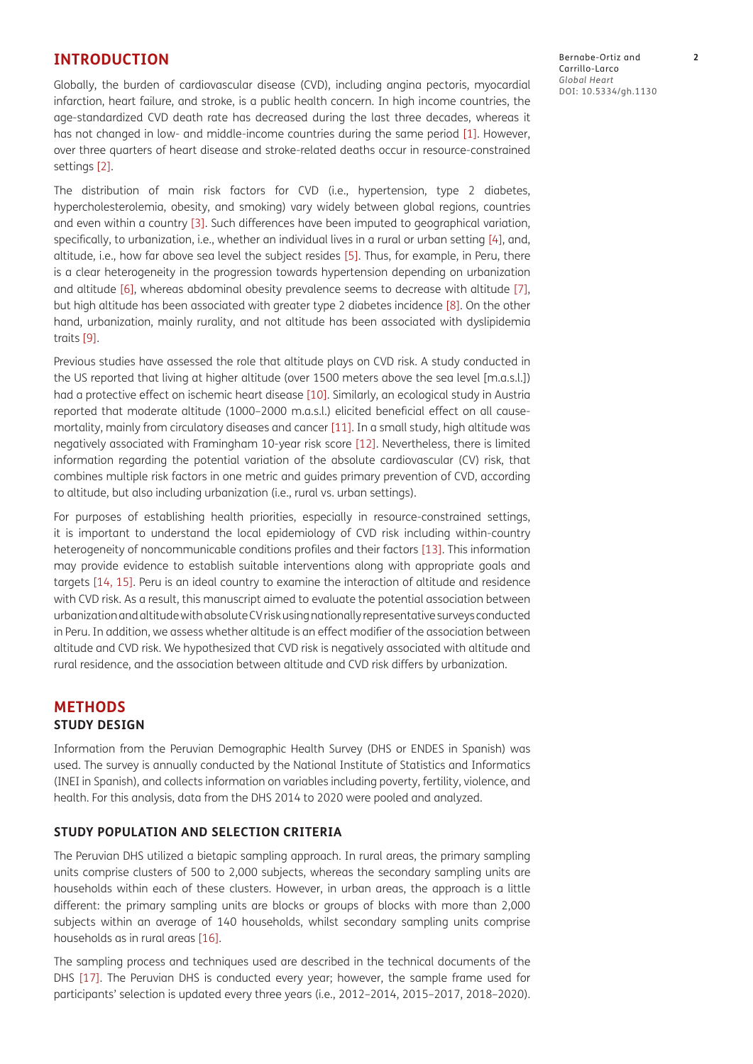# **INTRODUCTION**

Globally, the burden of cardiovascular disease (CVD), including angina pectoris, myocardial infarction, heart failure, and stroke, is a public health concern. In high income countries, the age-standardized CVD death rate has decreased during the last three decades, whereas it has not changed in low- and middle-income countries during the same period [\[1](#page-9-1)]. However, over three quarters of heart disease and stroke-related deaths occur in resource-constrained settings [[2\]](#page-9-2).

The distribution of main risk factors for CVD (i.e., hypertension, type 2 diabetes, hypercholesterolemia, obesity, and smoking) vary widely between global regions, countries and even within a country [[3](#page-9-3)]. Such differences have been imputed to geographical variation, specifically, to urbanization, i.e., whether an individual lives in a rural or urban setting [\[4](#page-9-4)], and, altitude, i.e., how far above sea level the subject resides [\[5](#page-9-5)]. Thus, for example, in Peru, there is a clear heterogeneity in the progression towards hypertension depending on urbanization and altitude [6], whereas abdominal obesity prevalence seems to decrease with altitude [7], but high altitude has been associated with greater type 2 diabetes incidence [8]. On the other hand, urbanization, mainly rurality, and not altitude has been associated with dyslipidemia traits [\[9\]](#page-9-6).

Previous studies have assessed the role that altitude plays on CVD risk. A study conducted in the US reported that living at higher altitude (over 1500 meters above the sea level [m.a.s.l.]) had a protective effect on ischemic heart disease [\[10\]](#page-10-0). Similarly, an ecological study in Austria reported that moderate altitude (1000–2000 m.a.s.l.) elicited beneficial effect on all causemortality, mainly from circulatory diseases and cancer [[11](#page-10-1)]. In a small study, high altitude was negatively associated with Framingham 10-year risk score [12]. Nevertheless, there is limited information regarding the potential variation of the absolute cardiovascular (CV) risk, that combines multiple risk factors in one metric and guides primary prevention of CVD, according to altitude, but also including urbanization (i.e., rural vs. urban settings).

For purposes of establishing health priorities, especially in resource-constrained settings, it is important to understand the local epidemiology of CVD risk including within-country heterogeneity of noncommunicable conditions profiles and their factors [\[13\]](#page-10-2). This information may provide evidence to establish suitable interventions along with appropriate goals and targets [[14](#page-10-3), [15](#page-10-4)]. Peru is an ideal country to examine the interaction of altitude and residence with CVD risk. As a result, this manuscript aimed to evaluate the potential association between urbanization and altitude with absolute CV risk using nationally representative surveys conducted in Peru. In addition, we assess whether altitude is an effect modifier of the association between altitude and CVD risk. We hypothesized that CVD risk is negatively associated with altitude and rural residence, and the association between altitude and CVD risk differs by urbanization.

# **METHODS STUDY DESIGN**

Information from the Peruvian Demographic Health Survey (DHS or ENDES in Spanish) was used. The survey is annually conducted by the National Institute of Statistics and Informatics (INEI in Spanish), and collects information on variables including poverty, fertility, violence, and health. For this analysis, data from the DHS 2014 to 2020 were pooled and analyzed.

# **STUDY POPULATION AND SELECTION CRITERIA**

The Peruvian DHS utilized a bietapic sampling approach. In rural areas, the primary sampling units comprise clusters of 500 to 2,000 subjects, whereas the secondary sampling units are households within each of these clusters. However, in urban areas, the approach is a little different: the primary sampling units are blocks or groups of blocks with more than 2,000 subjects within an average of 140 households, whilst secondary sampling units comprise households as in rural areas [16].

The sampling process and techniques used are described in the technical documents of the DHS [17]. The Peruvian DHS is conducted every year; however, the sample frame used for participants' selection is updated every three years (i.e., 2012–2014, 2015–2017, 2018–2020). Bernabe-Ortiz and **2** Carrillo-Larco *Global Heart* DOI: 10.5334/gh.1130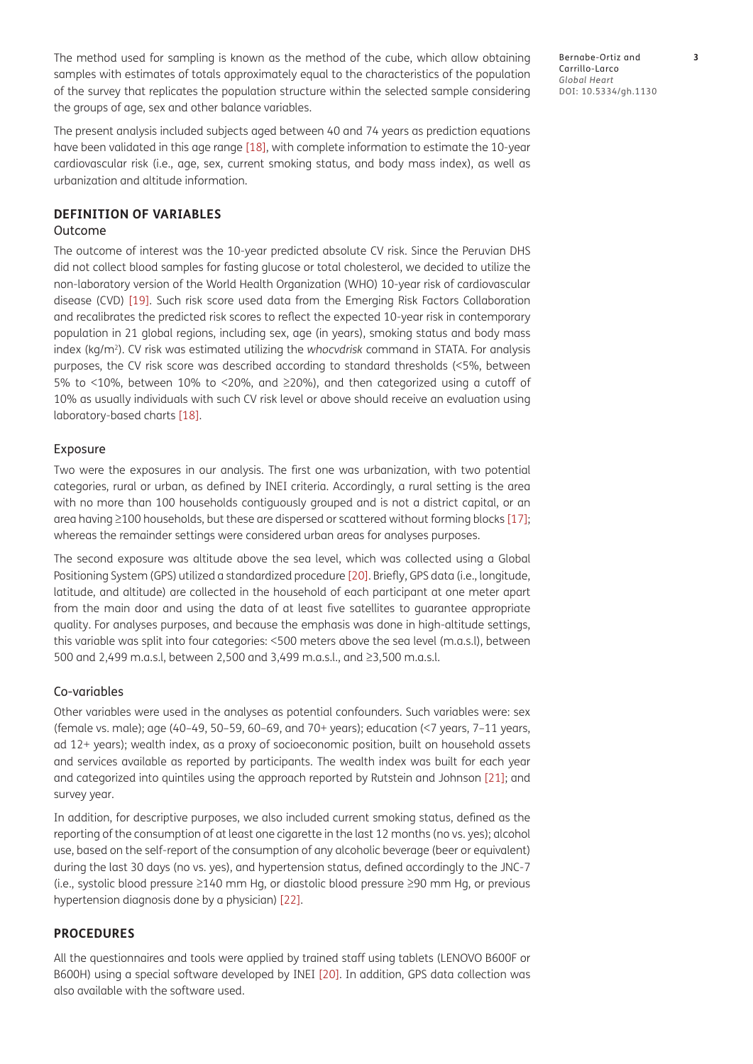The method used for sampling is known as the method of the cube, which allow obtaining samples with estimates of totals approximately equal to the characteristics of the population of the survey that replicates the population structure within the selected sample considering the groups of age, sex and other balance variables.

The present analysis included subjects aged between 40 and 74 years as prediction equations have been validated in this age range [\[18\]](#page-10-5), with complete information to estimate the 10-year cardiovascular risk (i.e., age, sex, current smoking status, and body mass index), as well as urbanization and altitude information.

# **DEFINITION OF VARIABLES**

# Outcome

The outcome of interest was the 10-year predicted absolute CV risk. Since the Peruvian DHS did not collect blood samples for fasting glucose or total cholesterol, we decided to utilize the non-laboratory version of the World Health Organization (WHO) 10-year risk of cardiovascular disease (CVD) [[19](#page-10-6)]. Such risk score used data from the Emerging Risk Factors Collaboration and recalibrates the predicted risk scores to reflect the expected 10-year risk in contemporary population in 21 global regions, including sex, age (in years), smoking status and body mass index (kg/m2). CV risk was estimated utilizing the *whocvdrisk* command in STATA. For analysis purposes, the CV risk score was described according to standard thresholds (<5%, between 5% to <10%, between 10% to <20%, and ≥20%), and then categorized using a cutoff of 10% as usually individuals with such CV risk level or above should receive an evaluation using laboratory-based charts [\[18\]](#page-10-5).

## Exposure

Two were the exposures in our analysis. The first one was urbanization, with two potential categories, rural or urban, as defined by INEI criteria. Accordingly, a rural setting is the area with no more than 100 households contiguously grouped and is not a district capital, or an area having ≥100 households, but these are dispersed or scattered without forming blocks [17]; whereas the remainder settings were considered urban areas for analyses purposes.

The second exposure was altitude above the sea level, which was collected using a Global Positioning System (GPS) utilized a standardized procedure [20]. Briefly, GPS data (i.e., longitude, latitude, and altitude) are collected in the household of each participant at one meter apart from the main door and using the data of at least five satellites to guarantee appropriate quality. For analyses purposes, and because the emphasis was done in high-altitude settings, this variable was split into four categories: <500 meters above the sea level (m.a.s.l), between 500 and 2,499 m.a.s.l, between 2,500 and 3,499 m.a.s.l., and ≥3,500 m.a.s.l.

#### Co-variables

Other variables were used in the analyses as potential confounders. Such variables were: sex (female vs. male); age (40–49, 50–59, 60–69, and 70+ years); education (<7 years, 7–11 years, ad 12+ years); wealth index, as a proxy of socioeconomic position, built on household assets and services available as reported by participants. The wealth index was built for each year and categorized into quintiles using the approach reported by Rutstein and Johnson [\[21](#page-10-7)]; and survey year.

In addition, for descriptive purposes, we also included current smoking status, defined as the reporting of the consumption of at least one cigarette in the last 12 months (no vs. yes); alcohol use, based on the self-report of the consumption of any alcoholic beverage (beer or equivalent) during the last 30 days (no vs. yes), and hypertension status, defined accordingly to the JNC-7 (i.e., systolic blood pressure ≥140 mm Hg, or diastolic blood pressure ≥90 mm Hg, or previous hypertension diagnosis done by a physician) [\[22\]](#page-10-8).

# **PROCEDURES**

All the questionnaires and tools were applied by trained staff using tablets (LENOVO B600F or B600H) using a special software developed by INEI [20]. In addition, GPS data collection was also available with the software used.

Bernabe-Ortiz and **3** Carrillo-Larco *Global Heart* DOI: 10.5334/gh.1130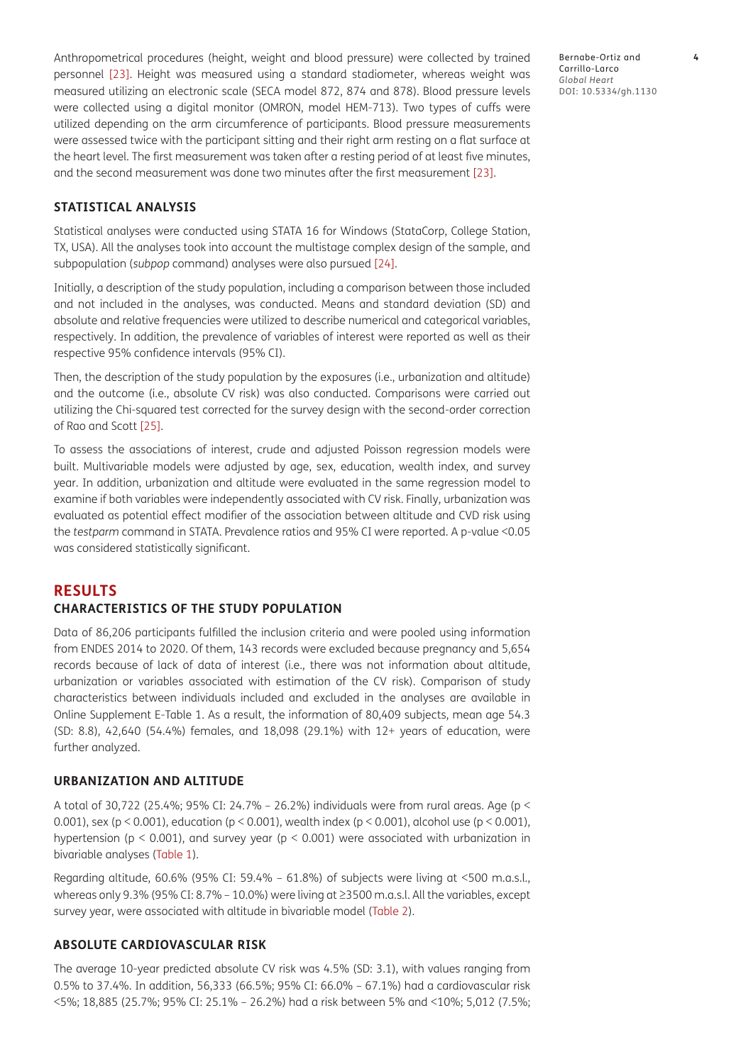Anthropometrical procedures (height, weight and blood pressure) were collected by trained personnel [23]. Height was measured using a standard stadiometer, whereas weight was measured utilizing an electronic scale (SECA model 872, 874 and 878). Blood pressure levels were collected using a digital monitor (OMRON, model HEM-713). Two types of cuffs were utilized depending on the arm circumference of participants. Blood pressure measurements were assessed twice with the participant sitting and their right arm resting on a flat surface at the heart level. The first measurement was taken after a resting period of at least five minutes, and the second measurement was done two minutes after the first measurement [23].

**STATISTICAL ANALYSIS**

Statistical analyses were conducted using STATA 16 for Windows (StataCorp, College Station, TX, USA). All the analyses took into account the multistage complex design of the sample, and subpopulation (*subpop* command) analyses were also pursued [[24](#page-10-9)].

Initially, a description of the study population, including a comparison between those included and not included in the analyses, was conducted. Means and standard deviation (SD) and absolute and relative frequencies were utilized to describe numerical and categorical variables, respectively. In addition, the prevalence of variables of interest were reported as well as their respective 95% confidence intervals (95% CI).

Then, the description of the study population by the exposures (i.e., urbanization and altitude) and the outcome (i.e., absolute CV risk) was also conducted. Comparisons were carried out utilizing the Chi-squared test corrected for the survey design with the second-order correction of Rao and Scott [[25](#page-10-10)].

To assess the associations of interest, crude and adjusted Poisson regression models were built. Multivariable models were adjusted by age, sex, education, wealth index, and survey year. In addition, urbanization and altitude were evaluated in the same regression model to examine if both variables were independently associated with CV risk. Finally, urbanization was evaluated as potential effect modifier of the association between altitude and CVD risk using the *testparm* command in STATA. Prevalence ratios and 95% CI were reported. A p-value <0.05 was considered statistically significant.

# **RESULTS CHARACTERISTICS OF THE STUDY POPULATION**

Data of 86,206 participants fulfilled the inclusion criteria and were pooled using information from ENDES 2014 to 2020. Of them, 143 records were excluded because pregnancy and 5,654 records because of lack of data of interest (i.e., there was not information about altitude, urbanization or variables associated with estimation of the CV risk). Comparison of study characteristics between individuals included and excluded in the analyses are available in Online Supplement E-Table 1. As a result, the information of 80,409 subjects, mean age 54.3 (SD: 8.8), 42,640 (54.4%) females, and 18,098 (29.1%) with 12+ years of education, were further analyzed.

# **URBANIZATION AND ALTITUDE**

A total of 30,722 (25.4%; 95% CI: 24.7% – 26.2%) individuals were from rural areas. Age (p < 0.001), sex (p < 0.001), education (p < 0.001), wealth index (p < 0.001), alcohol use (p < 0.001), hypertension ( $p < 0.001$ ), and survey year ( $p < 0.001$ ) were associated with urbanization in bivariable analyses ([Table 1](#page-4-0)).

Regarding altitude, 60.6% (95% CI: 59.4% – 61.8%) of subjects were living at <500 m.a.s.l., whereas only 9.3% (95% CI: 8.7% – 10.0%) were living at ≥3500 m.a.s.l. All the variables, except survey year, were associated with altitude in bivariable model [\(Table 2\)](#page-5-0).

## **ABSOLUTE CARDIOVASCULAR RISK**

The average 10-year predicted absolute CV risk was 4.5% (SD: 3.1), with values ranging from 0.5% to 37.4%. In addition, 56,333 (66.5%; 95% CI: 66.0% – 67.1%) had a cardiovascular risk <5%; 18,885 (25.7%; 95% CI: 25.1% – 26.2%) had a risk between 5% and <10%; 5,012 (7.5%;

Bernabe-Ortiz and **4** Carrillo-Larco *Global Heart* DOI: 10.5334/gh.1130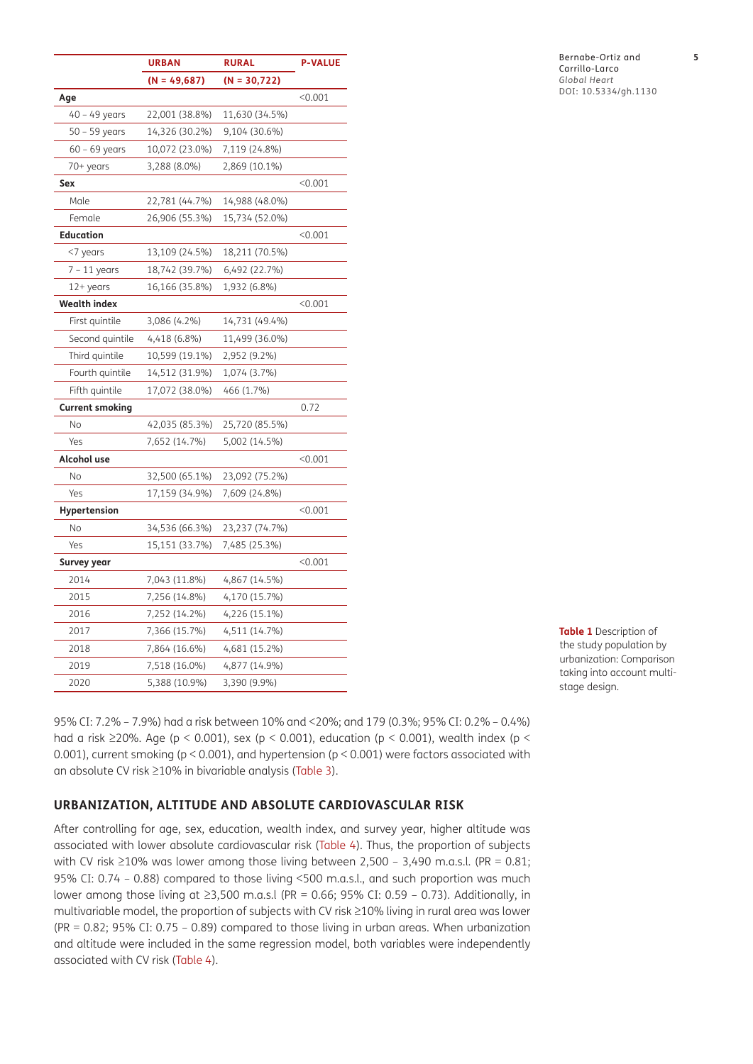|                        | <b>URBAN</b>   | <b>RURAL</b>    | <b>P-VALUE</b> |
|------------------------|----------------|-----------------|----------------|
|                        | $(N = 49,687)$ | $(N = 30, 722)$ |                |
| Age                    |                |                 | < 0.001        |
| $40 - 49$ years        | 22,001 (38.8%) | 11,630 (34.5%)  |                |
| 50 - 59 years          | 14,326 (30.2%) | 9,104 (30.6%)   |                |
| $60 - 69$ years        | 10,072 (23.0%) | 7,119 (24.8%)   |                |
| 70+ years              | 3,288 (8.0%)   | 2,869 (10.1%)   |                |
| Sex                    |                |                 | < 0.001        |
| Male                   | 22,781 (44.7%) | 14,988 (48.0%)  |                |
| Female                 | 26,906 (55.3%) | 15,734 (52.0%)  |                |
| <b>Education</b>       |                |                 | < 0.001        |
| <7 years               | 13,109 (24.5%) | 18,211 (70.5%)  |                |
| $7 - 11$ years         | 18,742 (39.7%) | 6,492 (22.7%)   |                |
| $12+years$             | 16,166 (35.8%) | 1,932 (6.8%)    |                |
| <b>Wealth index</b>    |                |                 | < 0.001        |
| First quintile         | 3,086 (4.2%)   | 14,731 (49.4%)  |                |
| Second quintile        | 4,418 (6.8%)   | 11,499 (36.0%)  |                |
| Third quintile         | 10,599 (19.1%) | 2,952 (9.2%)    |                |
| Fourth quintile        | 14,512 (31.9%) | 1,074 (3.7%)    |                |
| Fifth quintile         | 17,072 (38.0%) | 466 (1.7%)      |                |
| <b>Current smoking</b> |                |                 | 0.72           |
| No                     | 42,035 (85.3%) | 25,720 (85.5%)  |                |
| Yes                    | 7,652 (14.7%)  | 5,002 (14.5%)   |                |
| Alcohol use            |                |                 | < 0.001        |
| No                     | 32,500 (65.1%) | 23,092 (75.2%)  |                |
| Yes                    | 17,159 (34.9%) | 7,609 (24.8%)   |                |
| <b>Hypertension</b>    |                |                 | < 0.001        |
| No                     | 34,536 (66.3%) | 23,237 (74.7%)  |                |
| Yes                    | 15,151 (33.7%) | 7,485 (25.3%)   |                |
| Survey year            |                |                 | < 0.001        |
| 2014                   | 7,043 (11.8%)  | 4,867 (14.5%)   |                |
| 2015                   | 7,256 (14.8%)  | 4,170 (15.7%)   |                |
| 2016                   | 7,252 (14.2%)  | 4,226 (15.1%)   |                |
| 2017                   | 7,366 (15.7%)  | 4,511 (14.7%)   |                |
| 2018                   | 7,864 (16.6%)  | 4,681 (15.2%)   |                |
| 2019                   | 7,518 (16.0%)  | 4,877 (14.9%)   |                |
| 2020                   | 5,388 (10.9%)  | 3,390 (9.9%)    |                |

<span id="page-4-0"></span>**Table 1** Description of the study population by urbanization: Comparison taking into account multistage design.

95% CI: 7.2% – 7.9%) had a risk between 10% and <20%; and 179 (0.3%; 95% CI: 0.2% – 0.4%) had a risk ≥20%. Age (p < 0.001), sex (p < 0.001), education (p < 0.001), wealth index (p < 0.001), current smoking (p < 0.001), and hypertension (p < 0.001) were factors associated with an absolute CV risk ≥10% in bivariable analysis ([Table 3](#page-6-0)).

# **URBANIZATION, ALTITUDE AND ABSOLUTE CARDIOVASCULAR RISK**

After controlling for age, sex, education, wealth index, and survey year, higher altitude was associated with lower absolute cardiovascular risk [\(Table 4\)](#page-7-0). Thus, the proportion of subjects with CV risk  $\geq$ 10% was lower among those living between 2,500 – 3,490 m.a.s.l. (PR = 0.81; 95% CI: 0.74 – 0.88) compared to those living <500 m.a.s.l., and such proportion was much lower among those living at ≥3,500 m.a.s.l (PR = 0.66; 95% CI: 0.59 – 0.73). Additionally, in multivariable model, the proportion of subjects with CV risk ≥10% living in rural area was lower (PR = 0.82; 95% CI: 0.75 – 0.89) compared to those living in urban areas. When urbanization and altitude were included in the same regression model, both variables were independently associated with CV risk ([Table 4](#page-7-0)).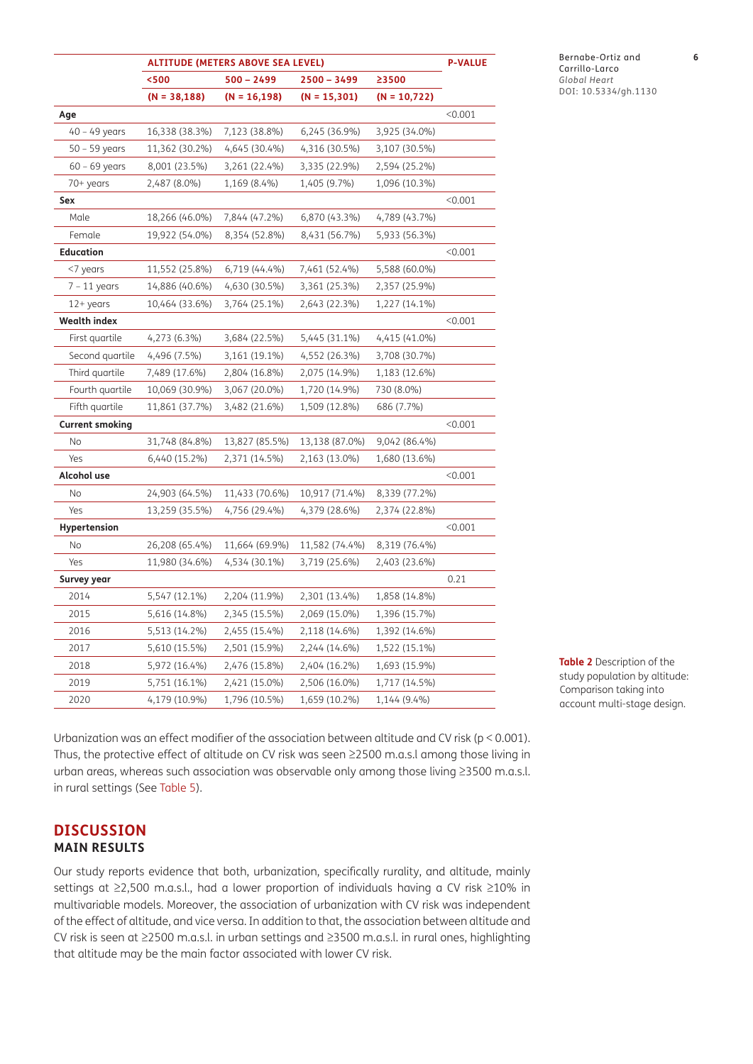|                        | <b>ALTITUDE (METERS ABOVE SEA LEVEL)</b> |                 |                |                | <b>P-VALUE</b> |
|------------------------|------------------------------------------|-----------------|----------------|----------------|----------------|
|                        | < 500                                    | $500 - 2499$    | $2500 - 3499$  | ≥3500          |                |
|                        | $(N = 38, 188)$                          | $(N = 16, 198)$ | $(N = 15,301)$ | $(N = 10,722)$ |                |
| Age                    |                                          |                 |                |                | < 0.001        |
| $40 - 49$ years        | 16,338 (38.3%)                           | 7,123 (38.8%)   | 6,245 (36.9%)  | 3,925 (34.0%)  |                |
| $50 - 59$ years        | 11,362 (30.2%)                           | 4,645 (30.4%)   | 4,316 (30.5%)  | 3,107 (30.5%)  |                |
| $60 - 69$ years        | 8,001 (23.5%)                            | 3,261 (22.4%)   | 3,335 (22.9%)  | 2,594 (25.2%)  |                |
| 70+ years              | 2,487 (8.0%)                             | 1,169 (8.4%)    | 1,405 (9.7%)   | 1,096 (10.3%)  |                |
| Sex                    |                                          |                 |                |                | < 0.001        |
| Male                   | 18,266 (46.0%)                           | 7,844 (47.2%)   | 6,870 (43.3%)  | 4,789 (43.7%)  |                |
| Female                 | 19,922 (54.0%)                           | 8,354 (52.8%)   | 8,431 (56.7%)  | 5,933 (56.3%)  |                |
| <b>Education</b>       |                                          |                 |                |                | < 0.001        |
| <7 years               | 11,552 (25.8%)                           | 6,719 (44.4%)   | 7,461 (52.4%)  | 5,588 (60.0%)  |                |
| $7 - 11$ years         | 14,886 (40.6%)                           | 4,630 (30.5%)   | 3,361 (25.3%)  | 2,357 (25.9%)  |                |
| 12+ years              | 10,464 (33.6%)                           | 3,764 (25.1%)   | 2,643 (22.3%)  | 1,227 (14.1%)  |                |
| <b>Wealth index</b>    |                                          |                 |                |                | < 0.001        |
| First quartile         | 4,273 (6.3%)                             | 3,684 (22.5%)   | 5,445 (31.1%)  | 4,415 (41.0%)  |                |
| Second quartile        | 4,496 (7.5%)                             | 3,161 (19.1%)   | 4,552 (26.3%)  | 3,708 (30.7%)  |                |
| Third quartile         | 7,489 (17.6%)                            | 2,804 (16.8%)   | 2,075 (14.9%)  | 1,183 (12.6%)  |                |
| Fourth quartile        | 10,069 (30.9%)                           | 3,067 (20.0%)   | 1,720 (14.9%)  | 730 (8.0%)     |                |
| Fifth quartile         | 11,861 (37.7%)                           | 3,482 (21.6%)   | 1,509 (12.8%)  | 686 (7.7%)     |                |
| <b>Current smoking</b> |                                          |                 |                |                | < 0.001        |
| $\rm No$               | 31,748 (84.8%)                           | 13,827 (85.5%)  | 13,138 (87.0%) | 9,042 (86.4%)  |                |
| Yes                    | 6,440 (15.2%)                            | 2,371 (14.5%)   | 2,163 (13.0%)  | 1,680 (13.6%)  |                |
| Alcohol use            |                                          |                 |                |                | < 0.001        |
| No                     | 24,903 (64.5%)                           | 11,433 (70.6%)  | 10,917 (71.4%) | 8,339 (77.2%)  |                |
| Yes                    | 13,259 (35.5%)                           | 4,756 (29.4%)   | 4,379 (28.6%)  | 2,374 (22.8%)  |                |
| <b>Hypertension</b>    |                                          |                 |                |                | < 0.001        |
| No                     | 26,208 (65.4%)                           | 11,664 (69.9%)  | 11,582 (74.4%) | 8,319 (76.4%)  |                |
| Yes                    | 11,980 (34.6%)                           | 4,534 (30.1%)   | 3,719 (25.6%)  | 2,403 (23.6%)  |                |
| Survey year            |                                          |                 |                |                | 0.21           |
| 2014                   | 5,547 (12.1%)                            | 2,204 (11.9%)   | 2,301 (13.4%)  | 1,858 (14.8%)  |                |
| 2015                   | 5,616 (14.8%)                            | 2,345 (15.5%)   | 2,069 (15.0%)  | 1,396 (15.7%)  |                |
| 2016                   | 5,513 (14.2%)                            | 2,455 (15.4%)   | 2,118 (14.6%)  | 1,392 (14.6%)  |                |
| 2017                   | 5,610 (15.5%)                            | 2,501 (15.9%)   | 2,244 (14.6%)  | 1,522 (15.1%)  |                |
| 2018                   | 5,972 (16.4%)                            | 2,476 (15.8%)   | 2,404 (16.2%)  | 1,693 (15.9%)  |                |
| 2019                   | 5,751 (16.1%)                            | 2,421 (15.0%)   | 2,506 (16.0%)  | 1,717 (14.5%)  |                |
| 2020                   | 4,179 (10.9%)                            | 1,796 (10.5%)   | 1,659 (10.2%)  | 1,144 (9.4%)   |                |

Bernabe-Ortiz and **6** Carrillo-Larco *Global Heart* DOI: 10.5334/gh.1130

<span id="page-5-0"></span>**Table 2** Description of the study population by altitude: Comparison taking into account multi-stage design.

Urbanization was an effect modifier of the association between altitude and CV risk (p < 0.001). Thus, the protective effect of altitude on CV risk was seen ≥2500 m.a.s.l among those living in urban areas, whereas such association was observable only among those living ≥3500 m.a.s.l. in rural settings (See [Table 5\)](#page-7-1).

# **DISCUSSION MAIN RESULTS**

Our study reports evidence that both, urbanization, specifically rurality, and altitude, mainly settings at ≥2,500 m.a.s.l., had a lower proportion of individuals having a CV risk ≥10% in multivariable models. Moreover, the association of urbanization with CV risk was independent of the effect of altitude, and vice versa. In addition to that, the association between altitude and CV risk is seen at ≥2500 m.a.s.l. in urban settings and ≥3500 m.a.s.l. in rural ones, highlighting that altitude may be the main factor associated with lower CV risk.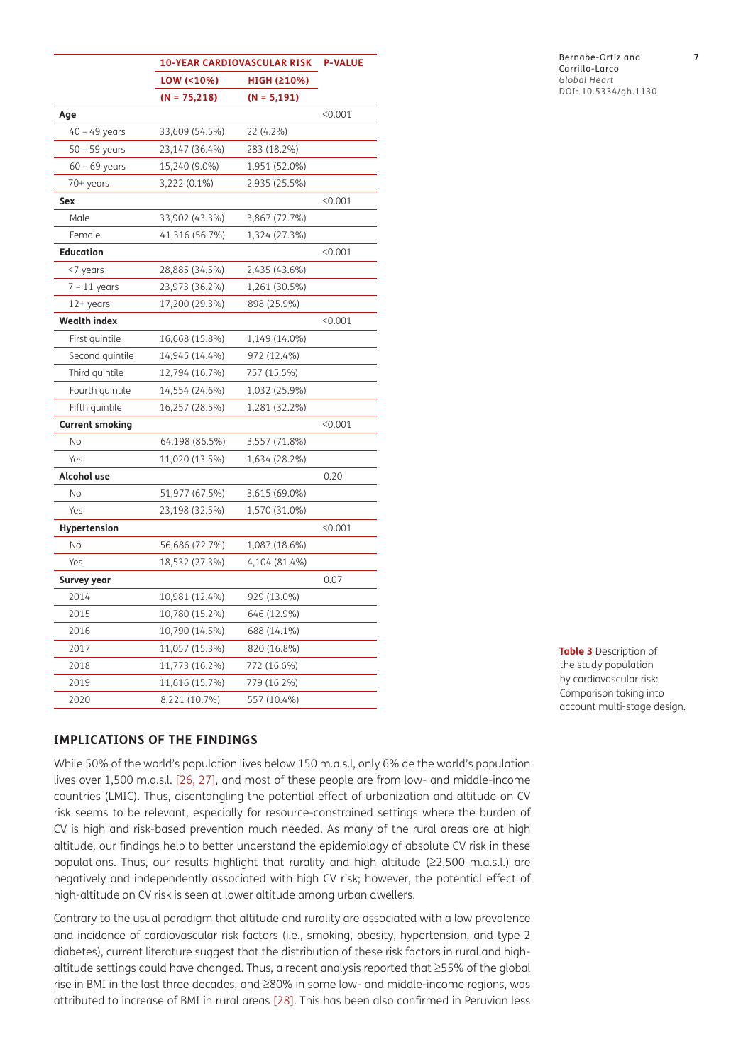|                        | <b>10-YEAR CARDIOVASCULAR RISK</b> | <b>P-VALUE</b> |         |
|------------------------|------------------------------------|----------------|---------|
|                        | LOW (<10%)                         | HIGH (≥10%)    |         |
|                        | $(N = 75,218)$                     | $(N = 5, 191)$ |         |
| Age                    |                                    |                | < 0.001 |
| 40 - 49 years          | 33,609 (54.5%)                     | 22 (4.2%)      |         |
| $50 - 59$ years        | 23,147 (36.4%)                     | 283 (18.2%)    |         |
| $60 - 69$ years        | 15,240 (9.0%)                      | 1,951 (52.0%)  |         |
| 70+ years              | 3,222 (0.1%)                       | 2,935 (25.5%)  |         |
| Sex                    |                                    |                | < 0.001 |
| Male                   | 33,902 (43.3%)                     | 3,867 (72.7%)  |         |
| Female                 | 41,316 (56.7%)                     | 1,324 (27.3%)  |         |
| <b>Education</b>       |                                    |                | < 0.001 |
| <7 years               | 28,885 (34.5%)                     | 2,435 (43.6%)  |         |
| $7 - 11$ years         | 23,973 (36.2%)                     | 1,261 (30.5%)  |         |
| $12+years$             | 17,200 (29.3%)                     | 898 (25.9%)    |         |
| <b>Wealth index</b>    |                                    |                | < 0.001 |
| First quintile         | 16,668 (15.8%)                     | 1,149 (14.0%)  |         |
| Second quintile        | 14,945 (14.4%)                     | 972 (12.4%)    |         |
| Third quintile         | 12,794 (16.7%)                     | 757 (15.5%)    |         |
| Fourth quintile        | 14,554 (24.6%)                     | 1,032 (25.9%)  |         |
| Fifth quintile         | 16,257 (28.5%)                     | 1,281 (32.2%)  |         |
| <b>Current smoking</b> |                                    |                | < 0.001 |
| No                     | 64,198 (86.5%)                     | 3,557 (71.8%)  |         |
| Yes                    | 11,020 (13.5%)                     | 1,634 (28.2%)  |         |
| Alcohol use            |                                    |                | 0.20    |
| No                     | 51,977 (67.5%)<br>3,615 (69.0%)    |                |         |
| Yes                    | 23,198 (32.5%)                     | 1,570 (31.0%)  |         |
| Hypertension           |                                    |                | < 0.001 |
| <b>No</b>              | 56,686 (72.7%)                     | 1,087 (18.6%)  |         |
| Yes                    | 18,532 (27.3%)                     | 4,104 (81.4%)  |         |
| Survey year            |                                    |                | 0.07    |
| 2014                   | 10,981 (12.4%)                     | 929 (13.0%)    |         |
| 2015                   | 10,780 (15.2%)                     | 646 (12.9%)    |         |
| 2016                   | 10,790 (14.5%)                     | 688 (14.1%)    |         |
| 2017                   | 11,057 (15.3%)                     | 820 (16.8%)    |         |
| 2018                   | 11,773 (16.2%)                     | 772 (16.6%)    |         |
| 2019                   | 11,616 (15.7%)                     | 779 (16.2%)    |         |
| 2020                   | 8,221 (10.7%)                      | 557 (10.4%)    |         |

<span id="page-6-0"></span>**Table 3** Description of the study population by cardiovascular risk: Comparison taking into account multi-stage design.

# **IMPLICATIONS OF THE FINDINGS**

While 50% of the world's population lives below 150 m.a.s.l, only 6% de the world's population lives over 1,500 m.a.s.l. [[26](#page-10-11), [27](#page-10-12)], and most of these people are from low- and middle-income countries (LMIC). Thus, disentangling the potential effect of urbanization and altitude on CV risk seems to be relevant, especially for resource-constrained settings where the burden of CV is high and risk-based prevention much needed. As many of the rural areas are at high altitude, our findings help to better understand the epidemiology of absolute CV risk in these populations. Thus, our results highlight that rurality and high altitude (≥2,500 m.a.s.l.) are negatively and independently associated with high CV risk; however, the potential effect of high-altitude on CV risk is seen at lower altitude among urban dwellers.

Contrary to the usual paradigm that altitude and rurality are associated with a low prevalence and incidence of cardiovascular risk factors (i.e., smoking, obesity, hypertension, and type 2 diabetes), current literature suggest that the distribution of these risk factors in rural and highaltitude settings could have changed. Thus, a recent analysis reported that ≥55% of the global rise in BMI in the last three decades, and ≥80% in some low- and middle-income regions, was attributed to increase of BMI in rural areas [\[28](#page-10-13)]. This has been also confirmed in Peruvian less

#### Bernabe-Ortiz and **7** Carrillo-Larco *Global Heart* DOI: 10.5334/gh.1130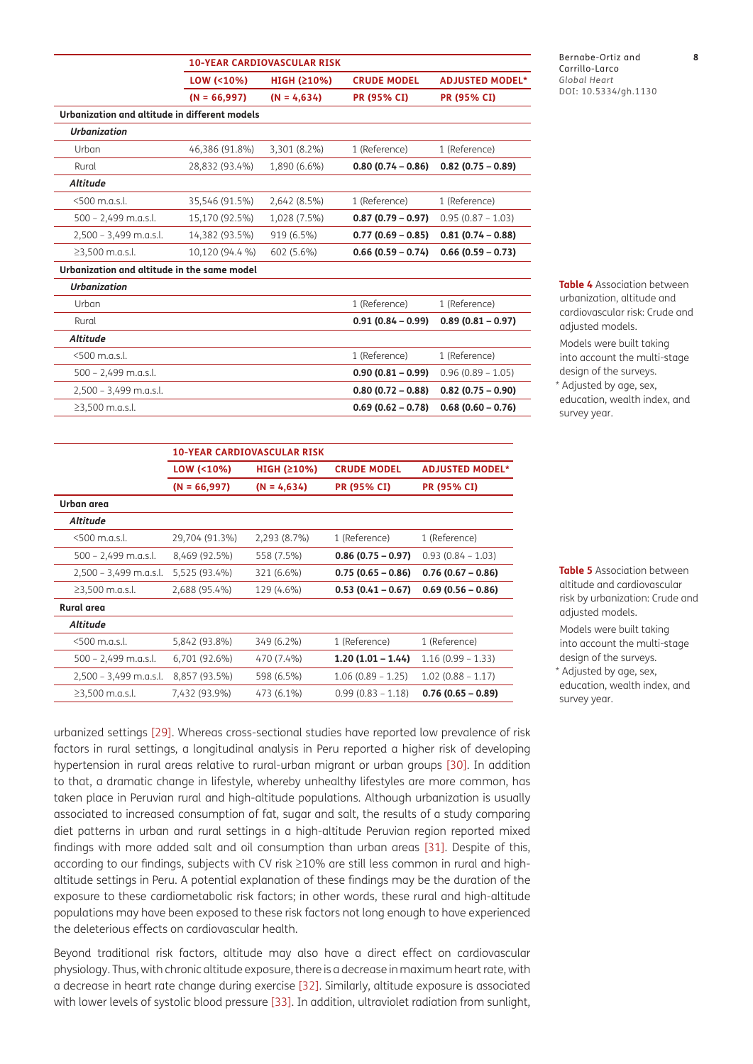|                                               | LOW (<10%)      | HIGH (≥10%)   | <b>CRUDE MODEL</b>   | <b>ADJUSTED MODEL*</b> |
|-----------------------------------------------|-----------------|---------------|----------------------|------------------------|
|                                               | $(N = 66,997)$  | $(N = 4,634)$ | <b>PR (95% CI)</b>   | <b>PR (95% CI)</b>     |
| Urbanization and altitude in different models |                 |               |                      |                        |
| <b>Urbanization</b>                           |                 |               |                      |                        |
| Urban                                         | 46,386 (91.8%)  | 3,301 (8.2%)  | 1 (Reference)        | 1 (Reference)          |
| Rural                                         | 28,832 (93.4%)  | 1,890 (6.6%)  | $0.80(0.74 - 0.86)$  | $0.82$ (0.75 - 0.89)   |
| Altitude                                      |                 |               |                      |                        |
| <500 m.a.s.l.                                 | 35,546 (91.5%)  | 2,642 (8.5%)  | 1 (Reference)        | 1 (Reference)          |
| $500 - 2,499$ m.a.s.l.                        | 15,170 (92.5%)  | 1,028 (7.5%)  | $0.87(0.79 - 0.97)$  | $0.95(0.87 - 1.03)$    |
| $2,500 - 3,499$ m.a.s.l.                      | 14,382 (93.5%)  | 919 (6.5%)    | $0.77(0.69 - 0.85)$  | $0.81(0.74 - 0.88)$    |
| $≥3,500$ m.a.s.l.                             | 10,120 (94.4 %) | 602 (5.6%)    | $0.66$ (0.59 – 0.74) | $0.66$ (0.59 – 0.73)   |
| Urbanization and altitude in the same model   |                 |               |                      |                        |
| <b>Urbanization</b>                           |                 |               |                      |                        |
| Urban                                         |                 |               | 1 (Reference)        | 1 (Reference)          |
| Rural                                         |                 |               | $0.91(0.84 - 0.99)$  | $0.89(0.81 - 0.97)$    |
| <b>Altitude</b>                               |                 |               |                      |                        |
| <500 m.a.s.l.                                 |                 |               | 1 (Reference)        | 1 (Reference)          |
| $500 - 2,499$ m.a.s.l.                        |                 |               | $0.90(0.81 - 0.99)$  | $0.96(0.89 - 1.05)$    |
| $2,500 - 3,499$ m.a.s.l.                      |                 |               | $0.80(0.72 - 0.88)$  | $0.82$ (0.75 - 0.90)   |

≥3,500 m.a.s.l. **0.69 (0.62 – 0.78) 0.68 (0.60 – 0.76)**

**10-YEAR CARDIOVASCULAR RISK**

Bernabe-Ortiz and **8** Carrillo-Larco *Global Heart* DOI: 10.5334/gh.1130

<span id="page-7-0"></span>**Table 4** Association between urbanization, altitude and cardiovascular risk: Crude and adjusted models.

Models were built taking into account the multi-stage design of the surveys.

\* Adjusted by age, sex, education, wealth index, and survey year.

|                          | LOW (<10%)     | HIGH (≥10%)   | <b>CRUDE MODEL</b>  | <b>ADJUSTED MODEL*</b> |
|--------------------------|----------------|---------------|---------------------|------------------------|
|                          | $(N = 66,997)$ | $(N = 4,634)$ | <b>PR (95% CI)</b>  | <b>PR (95% CI)</b>     |
| Urban area               |                |               |                     |                        |
| <b>Altitude</b>          |                |               |                     |                        |
| <500 m.a.s.l.            | 29,704 (91.3%) | 2,293 (8.7%)  | 1 (Reference)       | 1 (Reference)          |
| $500 - 2,499$ m.a.s.l.   | 8,469 (92.5%)  | 558 (7.5%)    | $0.86(0.75 - 0.97)$ | $0.93(0.84 - 1.03)$    |
| $2,500 - 3,499$ m.a.s.l. | 5,525 (93.4%)  | 321 (6.6%)    | $0.75(0.65 - 0.86)$ | $0.76(0.67 - 0.86)$    |
| $\geq$ 3,500 m.a.s.l.    | 2,688 (95.4%)  | 129 (4.6%)    | $0.53(0.41 - 0.67)$ | $0.69(0.56 - 0.86)$    |
| Rural area               |                |               |                     |                        |
| Altitude                 |                |               |                     |                        |
| <500 m.a.s.l.            | 5,842 (93.8%)  | 349 (6.2%)    | 1 (Reference)       | 1 (Reference)          |
| $500 - 2,499$ m.a.s.l.   | 6,701 (92.6%)  | 470 (7.4%)    | $1.20(1.01 - 1.44)$ | $1.16(0.99 - 1.33)$    |
| $2,500 - 3,499$ m.a.s.l. | 8,857 (93.5%)  | 598 (6.5%)    | $1.06(0.89 - 1.25)$ | $1.02(0.88 - 1.17)$    |
| $≥3,500$ m.a.s.l.        | 7,432 (93.9%)  | 473 (6.1%)    | $0.99(0.83 - 1.18)$ | $0.76(0.65 - 0.89)$    |
|                          |                |               |                     |                        |

**10-YEAR CARDIOVASCULAR RISK**

L

<span id="page-7-1"></span>**Table 5** Association between altitude and cardiovascular risk by urbanization: Crude and adjusted models.

Models were built taking into account the multi-stage design of the surveys.

\* Adjusted by age, sex, education, wealth index, and survey year.

urbanized settings [29]. Whereas cross-sectional studies have reported low prevalence of risk factors in rural settings, a longitudinal analysis in Peru reported a higher risk of developing hypertension in rural areas relative to rural-urban migrant or urban groups [[30](#page-10-14)]. In addition to that, a dramatic change in lifestyle, whereby unhealthy lifestyles are more common, has taken place in Peruvian rural and high-altitude populations. Although urbanization is usually associated to increased consumption of fat, sugar and salt, the results of a study comparing diet patterns in urban and rural settings in a high-altitude Peruvian region reported mixed findings with more added salt and oil consumption than urban areas [\[31\]](#page-10-15). Despite of this, according to our findings, subjects with CV risk ≥10% are still less common in rural and highaltitude settings in Peru. A potential explanation of these findings may be the duration of the exposure to these cardiometabolic risk factors; in other words, these rural and high-altitude populations may have been exposed to these risk factors not long enough to have experienced the deleterious effects on cardiovascular health.

Beyond traditional risk factors, altitude may also have a direct effect on cardiovascular physiology. Thus, with chronic altitude exposure, there is a decrease in maximum heart rate, with a decrease in heart rate change during exercise [32]. Similarly, altitude exposure is associated with lower levels of systolic blood pressure [\[33\]](#page-11-0). In addition, ultraviolet radiation from sunlight,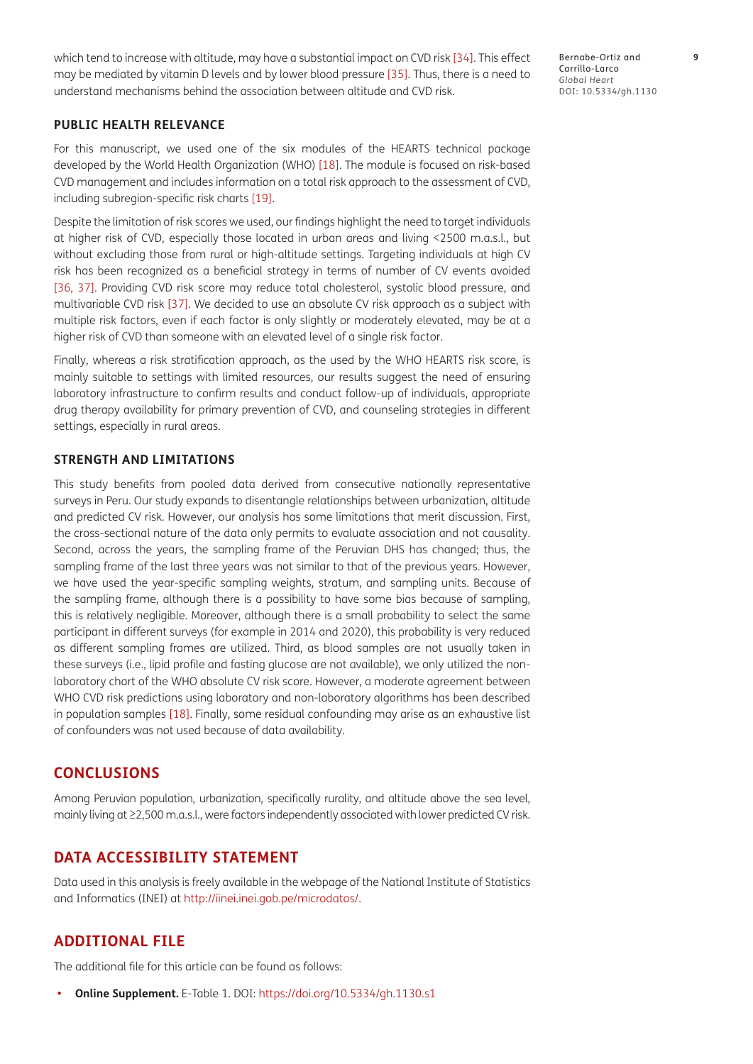which tend to increase with altitude, may have a substantial impact on CVD risk [\[34](#page-11-1)]. This effect may be mediated by vitamin D levels and by lower blood pressure [35]. Thus, there is a need to understand mechanisms behind the association between altitude and CVD risk.

Bernabe-Ortiz and **9** Carrillo-Larco *Global Heart* DOI: 10.5334/gh.1130

# **PUBLIC HEALTH RELEVANCE**

For this manuscript, we used one of the six modules of the HEARTS technical package developed by the World Health Organization (WHO) [[18](#page-10-5)]. The module is focused on risk-based CVD management and includes information on a total risk approach to the assessment of CVD, including subregion-specific risk charts [[19](#page-10-6)].

Despite the limitation of risk scores we used, our findings highlight the need to target individuals at higher risk of CVD, especially those located in urban areas and living <2500 m.a.s.l., but without excluding those from rural or high-altitude settings. Targeting individuals at high CV risk has been recognized as a beneficial strategy in terms of number of CV events avoided [\[36,](#page-11-2) [37\]](#page-11-3). Providing CVD risk score may reduce total cholesterol, systolic blood pressure, and multivariable CVD risk [[37\]](#page-11-3). We decided to use an absolute CV risk approach as a subject with multiple risk factors, even if each factor is only slightly or moderately elevated, may be at a higher risk of CVD than someone with an elevated level of a single risk factor.

Finally, whereas a risk stratification approach, as the used by the WHO HEARTS risk score, is mainly suitable to settings with limited resources, our results suggest the need of ensuring laboratory infrastructure to confirm results and conduct follow-up of individuals, appropriate drug therapy availability for primary prevention of CVD, and counseling strategies in different settings, especially in rural areas.

## **STRENGTH AND LIMITATIONS**

This study benefits from pooled data derived from consecutive nationally representative surveys in Peru. Our study expands to disentangle relationships between urbanization, altitude and predicted CV risk. However, our analysis has some limitations that merit discussion. First, the cross-sectional nature of the data only permits to evaluate association and not causality. Second, across the years, the sampling frame of the Peruvian DHS has changed; thus, the sampling frame of the last three years was not similar to that of the previous years. However, we have used the year-specific sampling weights, stratum, and sampling units. Because of the sampling frame, although there is a possibility to have some bias because of sampling, this is relatively negligible. Moreover, although there is a small probability to select the same participant in different surveys (for example in 2014 and 2020), this probability is very reduced as different sampling frames are utilized. Third, as blood samples are not usually taken in these surveys (i.e., lipid profile and fasting glucose are not available), we only utilized the nonlaboratory chart of the WHO absolute CV risk score. However, a moderate agreement between WHO CVD risk predictions using laboratory and non-laboratory algorithms has been described in population samples [[18](#page-10-5)]. Finally, some residual confounding may arise as an exhaustive list of confounders was not used because of data availability.

# **CONCLUSIONS**

Among Peruvian population, urbanization, specifically rurality, and altitude above the sea level, mainly living at ≥2,500 m.a.s.l., were factors independently associated with lower predicted CV risk.

# **DATA ACCESSIBILITY STATEMENT**

Data used in this analysis is freely available in the webpage of the National Institute of Statistics and Informatics (INEI) at [http://iinei.inei.gob.pe/microdatos/.](http://iinei.inei.gob.pe/microdatos/)

# **ADDITIONAL FILE**

The additional file for this article can be found as follows:

**• Online Supplement.** E-Table 1. DOI: <https://doi.org/10.5334/gh.1130.s1>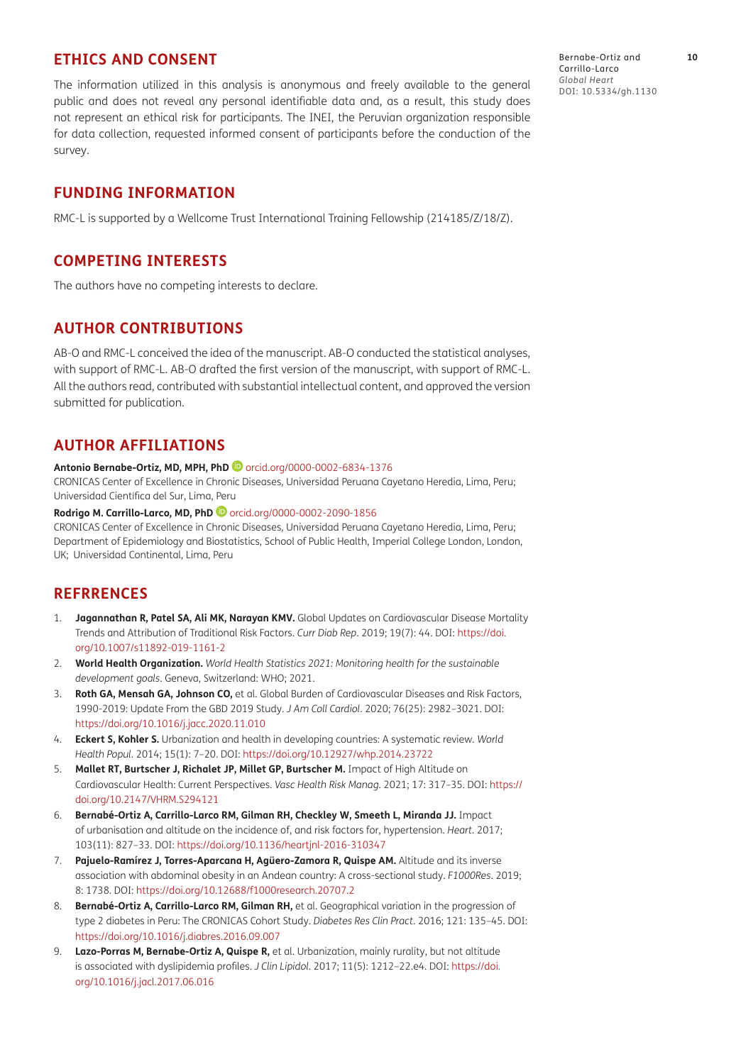# **ETHICS AND CONSENT**

The information utilized in this analysis is anonymous and freely available to the general public and does not reveal any personal identifiable data and, as a result, this study does not represent an ethical risk for participants. The INEI, the Peruvian organization responsible for data collection, requested informed consent of participants before the conduction of the survey.

# **FUNDING INFORMATION**

RMC-L is supported by a Wellcome Trust International Training Fellowship (214185/Z/18/Z).

# **COMPETING INTERESTS**

The authors have no competing interests to declare.

# **AUTHOR CONTRIBUTIONS**

AB-O and RMC-L conceived the idea of the manuscript. AB-O conducted the statistical analyses, with support of RMC-L. AB-O drafted the first version of the manuscript, with support of RMC-L. All the authors read, contributed with substantial intellectual content, and approved the version submitted for publication.

# <span id="page-9-0"></span>**AUTHOR AFFILIATIONS**

#### **Antonio Bernabe-Ortiz, MD, MPH, PhD**[orcid.org/0000-0002-6834-1376](https://orcid.org/0000-0002-6834-1376)

CRONICAS Center of Excellence in Chronic Diseases, Universidad Peruana Cayetano Heredia, Lima, Peru; Universidad Científica del Sur, Lima, Peru

#### **Rodrigo M. Carrillo-Larco, MD, PhD** [orcid.org/0000-0002-2090-1856](https://orcid.org/0000-0002-2090-1856)

CRONICAS Center of Excellence in Chronic Diseases, Universidad Peruana Cayetano Heredia, Lima, Peru; Department of Epidemiology and Biostatistics, School of Public Health, Imperial College London, London, UK; Universidad Continental, Lima, Peru

# **REFRRENCES**

- <span id="page-9-1"></span>1. **Jagannathan R, Patel SA, Ali MK, Narayan KMV.** Global Updates on Cardiovascular Disease Mortality Trends and Attribution of Traditional Risk Factors. *Curr Diab Rep*. 2019; 19(7): 44. DOI: [https://doi.](https://doi.org/10.1007/s11892-019-1161-2) [org/10.1007/s11892-019-1161-2](https://doi.org/10.1007/s11892-019-1161-2)
- <span id="page-9-2"></span>2. **World Health Organization.** *World Health Statistics 2021: Monitoring health for the sustainable development goals*. Geneva, Switzerland: WHO; 2021.
- <span id="page-9-3"></span>3. **Roth GA, Mensah GA, Johnson CO,** et al. Global Burden of Cardiovascular Diseases and Risk Factors, 1990-2019: Update From the GBD 2019 Study. *J Am Coll Cardiol*. 2020; 76(25): 2982–3021. DOI: <https://doi.org/10.1016/j.jacc.2020.11.010>
- <span id="page-9-4"></span>4. **Eckert S, Kohler S.** Urbanization and health in developing countries: A systematic review. *World Health Popul*. 2014; 15(1): 7–20. DOI:<https://doi.org/10.12927/whp.2014.23722>
- <span id="page-9-5"></span>5. **Mallet RT, Burtscher J, Richalet JP, Millet GP, Burtscher M.** Impact of High Altitude on Cardiovascular Health: Current Perspectives. *Vasc Health Risk Manag*. 2021; 17: 317–35. DOI: [https://](https://doi.org/10.2147/VHRM.S294121) [doi.org/10.2147/VHRM.S294121](https://doi.org/10.2147/VHRM.S294121)
- 6. **Bernabé-Ortiz A, Carrillo-Larco RM, Gilman RH, Checkley W, Smeeth L, Miranda JJ.** Impact of urbanisation and altitude on the incidence of, and risk factors for, hypertension. *Heart*. 2017; 103(11): 827–33. DOI:<https://doi.org/10.1136/heartjnl-2016-310347>
- 7. **Pajuelo-Ramírez J, Torres-Aparcana H, Agüero-Zamora R, Quispe AM.** Altitude and its inverse association with abdominal obesity in an Andean country: A cross-sectional study. *F1000Res*. 2019; 8: 1738. DOI: <https://doi.org/10.12688/f1000research.20707.2>
- 8. **Bernabé-Ortiz A, Carrillo-Larco RM, Gilman RH,** et al. Geographical variation in the progression of type 2 diabetes in Peru: The CRONICAS Cohort Study. *Diabetes Res Clin Pract*. 2016; 121: 135–45. DOI: <https://doi.org/10.1016/j.diabres.2016.09.007>
- <span id="page-9-6"></span>9. **Lazo-Porras M, Bernabe-Ortiz A, Quispe R,** et al. Urbanization, mainly rurality, but not altitude is associated with dyslipidemia profiles. *J Clin Lipidol*. 2017; 11(5): 1212–22.e4. DOI: [https://doi.](https://doi.org/10.1016/j.jacl.2017.06.016) [org/10.1016/j.jacl.2017.06.016](https://doi.org/10.1016/j.jacl.2017.06.016)

Bernabe-Ortiz and **10** Carrillo-Larco *Global Heart* DOI: 10.5334/gh.1130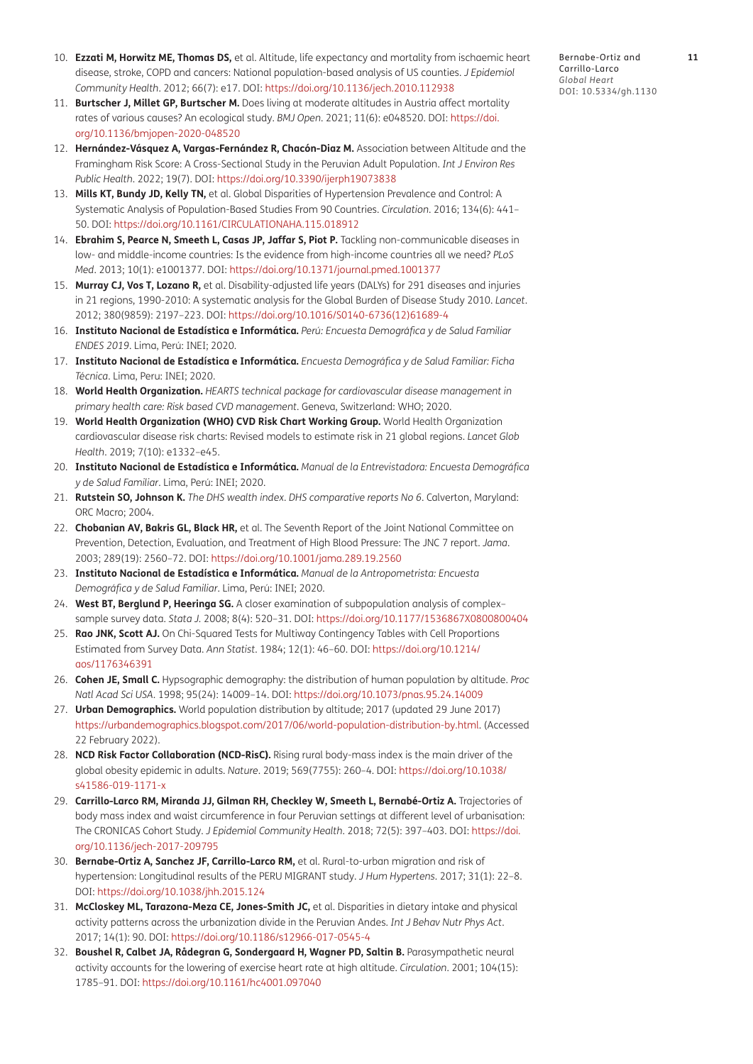- <span id="page-10-0"></span>10. **Ezzati M, Horwitz ME, Thomas DS,** et al. Altitude, life expectancy and mortality from ischaemic heart disease, stroke, COPD and cancers: National population-based analysis of US counties. *J Epidemiol Community Health*. 2012; 66(7): e17. DOI: <https://doi.org/10.1136/jech.2010.112938>
- <span id="page-10-1"></span>11. **Burtscher J, Millet GP, Burtscher M.** Does living at moderate altitudes in Austria affect mortality rates of various causes? An ecological study. *BMJ Open*. 2021; 11(6): e048520. DOI: [https://doi.](https://doi.org/10.1136/bmjopen-2020-048520) [org/10.1136/bmjopen-2020-048520](https://doi.org/10.1136/bmjopen-2020-048520)
- 12. **Hernández-Vásquez A, Vargas-Fernández R, Chacón-Diaz M.** Association between Altitude and the Framingham Risk Score: A Cross-Sectional Study in the Peruvian Adult Population. *Int J Environ Res Public Health*. 2022; 19(7). DOI: <https://doi.org/10.3390/ijerph19073838>
- <span id="page-10-2"></span>13. **Mills KT, Bundy JD, Kelly TN,** et al. Global Disparities of Hypertension Prevalence and Control: A Systematic Analysis of Population-Based Studies From 90 Countries. *Circulation*. 2016; 134(6): 441– 50. DOI:<https://doi.org/10.1161/CIRCULATIONAHA.115.018912>
- <span id="page-10-3"></span>14. **Ebrahim S, Pearce N, Smeeth L, Casas JP, Jaffar S, Piot P.** Tackling non-communicable diseases in low- and middle-income countries: Is the evidence from high-income countries all we need? *PLoS Med*. 2013; 10(1): e1001377. DOI: <https://doi.org/10.1371/journal.pmed.1001377>
- <span id="page-10-4"></span>15. **Murray CJ, Vos T, Lozano R,** et al. Disability-adjusted life years (DALYs) for 291 diseases and injuries in 21 regions, 1990-2010: A systematic analysis for the Global Burden of Disease Study 2010. *Lancet*. 2012; 380(9859): 2197–223. DOI: [https://doi.org/10.1016/S0140-6736\(12\)61689-4](https://doi.org/10.1016/S0140-6736(12)61689-4)
- 16. **Instituto Nacional de Estadística e Informática.** *Perú: Encuesta Demográfica y de Salud Familiar ENDES 2019*. Lima, Perú: INEI; 2020.
- 17. **Instituto Nacional de Estadística e Informática.** *Encuesta Demográfica y de Salud Familiar: Ficha Técnica*. Lima, Peru: INEI; 2020.
- <span id="page-10-5"></span>18. **World Health Organization.** *HEARTS technical package for cardiovascular disease management in primary health care: Risk based CVD management*. Geneva, Switzerland: WHO; 2020.
- <span id="page-10-6"></span>19. **World Health Organization (WHO) CVD Risk Chart Working Group.** World Health Organization cardiovascular disease risk charts: Revised models to estimate risk in 21 global regions. *Lancet Glob Health*. 2019; 7(10): e1332–e45.
- 20. **Instituto Nacional de Estadística e Informática.** *Manual de la Entrevistadora: Encuesta Demográfica y de Salud Familiar*. Lima, Perú: INEI; 2020.
- <span id="page-10-7"></span>21. **Rutstein SO, Johnson K.** *The DHS wealth index. DHS comparative reports No 6*. Calverton, Maryland: ORC Macro; 2004.
- <span id="page-10-8"></span>22. **Chobanian AV, Bakris GL, Black HR,** et al. The Seventh Report of the Joint National Committee on Prevention, Detection, Evaluation, and Treatment of High Blood Pressure: The JNC 7 report. *Jama*. 2003; 289(19): 2560–72. DOI:<https://doi.org/10.1001/jama.289.19.2560>
- 23. **Instituto Nacional de Estadística e Informática.** *Manual de la Antropometrista: Encuesta Demográfica y de Salud Familiar*. Lima, Perú: INEI; 2020.
- <span id="page-10-9"></span>24. **West BT, Berglund P, Heeringa SG.** A closer examination of subpopulation analysis of complex– sample survey data. *Stata J.* 2008; 8(4): 520–31. DOI:<https://doi.org/10.1177/1536867X0800800404>
- <span id="page-10-10"></span>25. **Rao JNK, Scott AJ.** On Chi-Squared Tests for Multiway Contingency Tables with Cell Proportions Estimated from Survey Data. *Ann Statist*. 1984; 12(1): 46–60. DOI: [https://doi.org/10.1214/](https://doi.org/10.1214/aos/1176346391) [aos/1176346391](https://doi.org/10.1214/aos/1176346391)
- <span id="page-10-11"></span>26. **Cohen JE, Small C.** Hypsographic demography: the distribution of human population by altitude. *Proc Natl Acad Sci USA*. 1998; 95(24): 14009–14. DOI: <https://doi.org/10.1073/pnas.95.24.14009>
- <span id="page-10-12"></span>27. **Urban Demographics.** World population distribution by altitude; 2017 (updated 29 June 2017) [https://urbandemographics.blogspot.com/2017/06/world-population-distribution-by.html.](https://urbandemographics.blogspot.com/2017/06/world-population-distribution-by.html) (Accessed 22 February 2022).
- <span id="page-10-13"></span>28. **NCD Risk Factor Collaboration (NCD-RisC).** Rising rural body-mass index is the main driver of the global obesity epidemic in adults. *Nature*. 2019; 569(7755): 260–4. DOI: [https://doi.org/10.1038/](https://doi.org/10.1038/s41586-019-1171-x) [s41586-019-1171-x](https://doi.org/10.1038/s41586-019-1171-x)
- 29. **Carrillo-Larco RM, Miranda JJ, Gilman RH, Checkley W, Smeeth L, Bernabé-Ortiz A.** Trajectories of body mass index and waist circumference in four Peruvian settings at different level of urbanisation: The CRONICAS Cohort Study. *J Epidemiol Community Health*. 2018; 72(5): 397–403. DOI: [https://doi.](https://doi.org/10.1136/jech-2017-209795) [org/10.1136/jech-2017-209795](https://doi.org/10.1136/jech-2017-209795)
- <span id="page-10-14"></span>30. **Bernabe-Ortiz A, Sanchez JF, Carrillo-Larco RM,** et al. Rural-to-urban migration and risk of hypertension: Longitudinal results of the PERU MIGRANT study. *J Hum Hypertens*. 2017; 31(1): 22–8. DOI:<https://doi.org/10.1038/jhh.2015.124>
- <span id="page-10-15"></span>31. **McCloskey ML, Tarazona-Meza CE, Jones-Smith JC,** et al. Disparities in dietary intake and physical activity patterns across the urbanization divide in the Peruvian Andes. *Int J Behav Nutr Phys Act*. 2017; 14(1): 90. DOI:<https://doi.org/10.1186/s12966-017-0545-4>
- 32. **Boushel R, Calbet JA, Rådegran G, Sondergaard H, Wagner PD, Saltin B.** Parasympathetic neural activity accounts for the lowering of exercise heart rate at high altitude. *Circulation*. 2001; 104(15): 1785–91. DOI: <https://doi.org/10.1161/hc4001.097040>